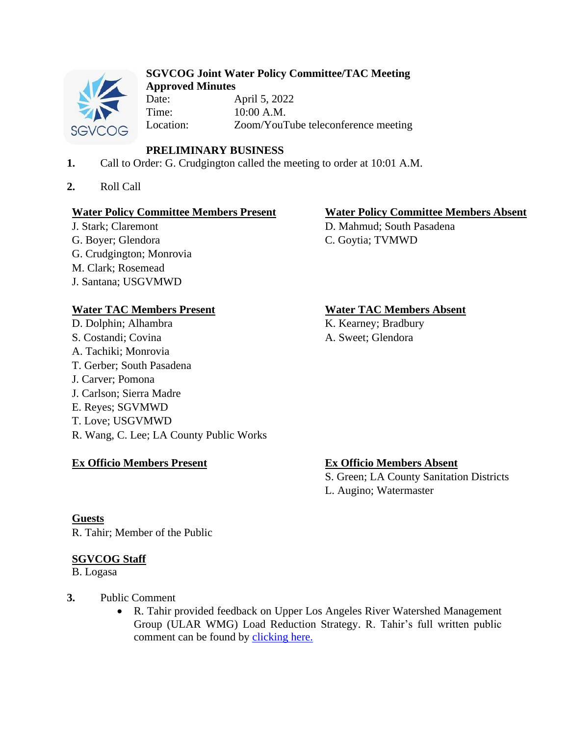

## **SGVCOG Joint Water Policy Committee/TAC Meeting Approved Minutes**

Date: April 5, 2022 Time:  $10:00$  A.M. Location: Zoom/YouTube teleconference meeting

# **PRELIMINARY BUSINESS**

**1.** Call to Order: G. Crudgington called the meeting to order at 10:01 A.M.

**2.** Roll Call

## **Water Policy Committee Members Present Water Policy Committee Members Absent**

G. Boyer; Glendora C. Goytia; TVMWD G. Crudgington; Monrovia M. Clark; Rosemead J. Santana; USGVMWD

## **Water TAC Members Present Water TAC Members Absent**

D. Dolphin; Alhambra K. Kearney; Bradbury S. Costandi; Covina A. Sweet; Glendora A. Tachiki; Monrovia T. Gerber; South Pasadena J. Carver; Pomona J. Carlson; Sierra Madre E. Reyes; SGVMWD T. Love; USGVMWD R. Wang, C. Lee; LA County Public Works

## **Ex Officio Members Present Ex Officio Members Absent**

J. Stark; Claremont D. Mahmud; South Pasadena

S. Green; LA County Sanitation Districts L. Augino; Watermaster

## **Guests**

R. Tahir; Member of the Public

## **SGVCOG Staff**

B. Logasa

**3.** Public Comment

• R. Tahir provided feedback on Upper Los Angeles River Watershed Management Group (ULAR WMG) Load Reduction Strategy. R. Tahir's full written public comment can be found by [clicking here.](https://drive.google.com/file/d/16H43RAJ74iCg0LyfiVTZnx7NOmgy6_ws/view?usp=sharing)